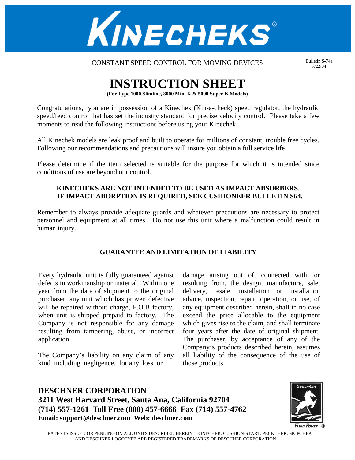

CONSTANT SPEED CONTROL FOR MOVING DEVICES

Bulletin S-74a 7/22/04

# **INSTRUCTION SHEET**

**(For Type 1000 Slimline, 3000 Mini K & 5000 Super K Models)** 

Congratulations, you are in possession of a Kinechek (Kin-a-check) speed regulator, the hydraulic speed/feed control that has set the industry standard for precise velocity control. Please take a few moments to read the following instructions before using your Kinechek.

All Kinechek models are leak proof and built to operate for millions of constant, trouble free cycles. Following our recommendations and precautions will insure you obtain a full service life.

Please determine if the item selected is suitable for the purpose for which it is intended since conditions of use are beyond our control.

# **KINECHEKS ARE NOT INTENDED TO BE USED AS IMPACT ABSORBERS. IF IMPACT ABORPTION IS REQUIRED, SEE CUSHIONEER BULLETIN S64.**

Remember to always provide adequate guards and whatever precautions are necessary to protect personnel and equipment at all times. Do not use this unit where a malfunction could result in human injury.

# **GUARANTEE AND LIMITATION OF LIABILITY**

Every hydraulic unit is fully guaranteed against defects in workmanship or material. Within one year from the date of shipment to the original purchaser, any unit which has proven defective will be repaired without charge, F.O.B factory, when unit is shipped prepaid to factory. The Company is not responsible for any damage resulting from tampering, abuse, or incorrect application.

The Company's liability on any claim of any kind including negligence, for any loss or

damage arising out of, connected with, or resulting from, the design, manufacture, sale, delivery, resale, installation or installation advice, inspection, repair, operation, or use, of any equipment described herein, shall in no case exceed the price allocable to the equipment which gives rise to the claim, and shall terminate four years after the date of original shipment. The purchaser, by acceptance of any of the Company's products described herein, assumes all liability of the consequence of the use of those products.

**DESCHNER CORPORATION 3211 West Harvard Street, Santa Ana, California 92704 (714) 557-1261 Toll Free (800) 457-6666 Fax (714) 557-4762 Email: support@deschner.com Web: deschner.com**